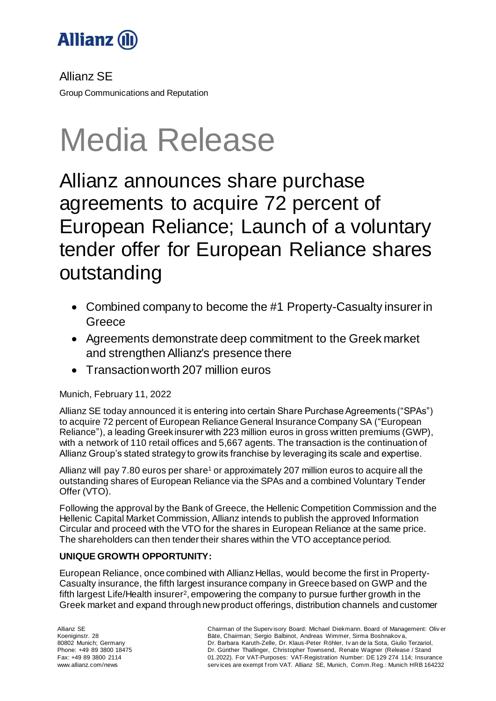

Allianz SE Group Communications and Reputation

# Media Release

Allianz announces share purchase agreements to acquire 72 percent of European Reliance; Launch of a voluntary tender offer for European Reliance shares outstanding

- Combined company to become the #1 Property-Casualty insurer in Greece
- Agreements demonstrate deep commitment to the Greek market and strengthen Allianz's presence there
- Transaction worth 207 million euros

# Munich, February 11, 2022

Allianz SE today announced it is entering into certain Share Purchase Agreements ("SPAs") to acquire 72 percent of European Reliance General Insurance Company SA ("European Reliance"), a leading Greek insurer with 223 million euros in gross written premiums (GWP), with a network of 110 retail offices and 5,667 agents. The transaction is the continuation of Allianz Group's stated strategy to grow its franchise by leveraging its scale and expertise.

Allianz will pay 7.80 euros per share<sup>1</sup> or approximately 207 million euros to acquire all the outstanding shares of European Reliance via the SPAs and a combined Voluntary Tender Offer (VTO).

Following the approval by the Bank of Greece, the Hellenic Competition Commission and the Hellenic Capital Market Commission, Allianz intends to publish the approved Information Circular and proceed with the VTO for the shares in European Reliance at the same price. The shareholders can then tender their shares within the VTO acceptance period.

# **UNIQUE GROWTH OPPORTUNITY:**

European Reliance, once combined with Allianz Hellas, would become the first in Property-Casualty insurance, the fifth largest insurance company in Greece based on GWP and the fifth largest Life/Health insurer<sup>2</sup>, empowering the company to pursue further growth in the Greek market and expand through new product offerings, distribution channels and customer

Chairman of the Superv isory Board: Michael Diekmann. Board of Management: Oliv er Bäte, Chairman; Sergio Balbinot, Andreas Wimmer, Sirma Boshnakov a, Dr. Barbara Karuth-Zelle, Dr. Klaus-Peter Röhler, Iv an de la Sota, Giulio Terzariol, Dr. Günther Thallinger, Christopher Townsend, Renate Wagner (Release / Stand 01.2022). For VAT-Purposes: VAT-Registration Number: DE 129 274 114; Insurance serv ices are exempt f rom VAT. Allianz SE, Munich, Comm.Reg.: Munich HRB 164232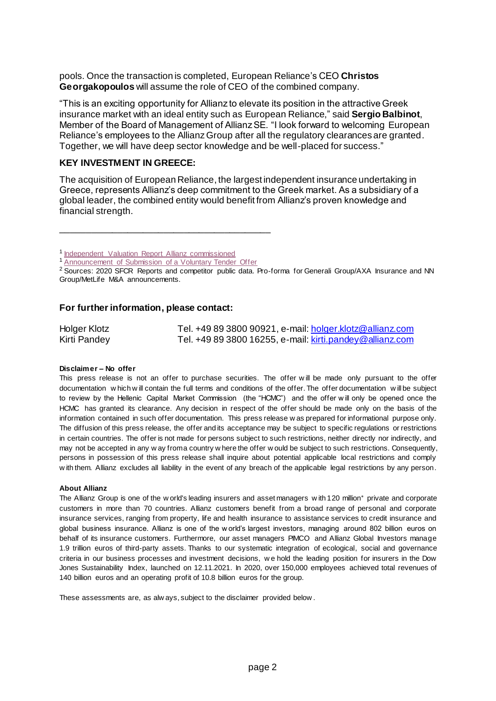pools. Once the transaction is completed, European Reliance's CEO **Christos Georgakopoulos** will assume the role of CEO of the combined company.

"This is an exciting opportunity for Allianz to elevate its position in the attractive Greek insurance market with an ideal entity such as European Reliance," said **Sergio Balbinot**, Member of the Board of Management of Allianz SE. "I look forward to welcoming European Reliance's employees to the Allianz Group after all the regulatory clearances are granted. Together, we will have deep sector knowledge and be well-placed for success."

### **KEY INVESTMENT IN GREECE:**

The acquisition of European Reliance, the largest independent insurance undertaking in Greece, represents Allianz's deep commitment to the Greek market. As a subsidiary of a global leader, the combined entity would benefit from Allianz's proven knowledge and financial strength.

\_\_\_\_\_\_\_\_\_\_\_\_\_\_\_\_\_\_\_\_\_\_\_\_\_\_\_\_\_\_\_\_\_\_\_\_\_\_\_\_\_

<sup>1</sup> [Independent Valuation Report Allianz commissioned](https://www.athexgroup.gr/documents/10180/6568037/481_806_2022_Greek_1.PDF/bcec9813-8a5f-467b-805c-7cb42b70b7f6)

<sup>1</sup> [Announcement of Submission of a Voluntary Tender Offer](https://www.athexgroup.gr/documents/10180/6568037/481_805_2022_Greek_1.pdf/11ee2ed9-ff8b-4c42-b4d6-7888b2578f2f)

<sup>2</sup> Sources: 2020 SFCR Reports and competitor public data. Pro-forma for Generali Group/AXA Insurance and NN Group/MetLife M&A announcements.

## **For further information, please contact:**

| Holger Klotz | Tel. +49 89 3800 90921, e-mail: holger.klotz@allianz.com |
|--------------|----------------------------------------------------------|
| Kirti Pandey | Tel. +49 89 3800 16255, e-mail: kirti.pandey@allianz.com |

#### **Disclaimer – No offer**

This press release is not an offer to purchase securities. The offer will be made only pursuant to the offer documentation w hich w ill contain the full terms and conditions of the offer. The offer documentation w ill be subject to review by the Hellenic Capital Market Commission (the "HCMC") and the offer w ill only be opened once the HCMC has granted its clearance. Any decision in respect of the offer should be made only on the basis of the information contained in such offer documentation. This press release w as prepared for informational purpose only. The diffusion of this press release, the offer and its acceptance may be subject to specific regulations or restrictions in certain countries. The offer is not made for persons subject to such restrictions, neither directly nor indirectly, and may not be accepted in any w ay from a country w here the offer w ould be subject to such restrictions. Consequently, persons in possession of this press release shall inquire about potential applicable local restrictions and comply w ith them. Allianz excludes all liability in the event of any breach of the applicable legal restrictions by any person.

#### **About Allianz**

The Allianz Group is one of the w orld's leading insurers and asset managers with 120 million\* private and corporate customers in more than 70 countries. Allianz customers benefit from a broad range of personal and corporate insurance services, ranging from property, life and health insurance to assistance services to credit insurance and global business insurance. Allianz is one of the w orld's largest investors, managing around 802 billion euros on behalf of its insurance customers. Furthermore, our asset managers PIMCO and Allianz Global Investors manage 1.9 trillion euros of third-party assets. Thanks to our systematic integration of ecological, social and governance criteria in our business processes and investment decisions, w e hold the leading position for insurers in the Dow Jones Sustainability Index, launched on 12.11.2021. In 2020, over 150,000 employees achieved total revenues of 140 billion euros and an operating profit of 10.8 billion euros for the group.

These assessments are, as alw ays, subject to the disclaimer provided below .